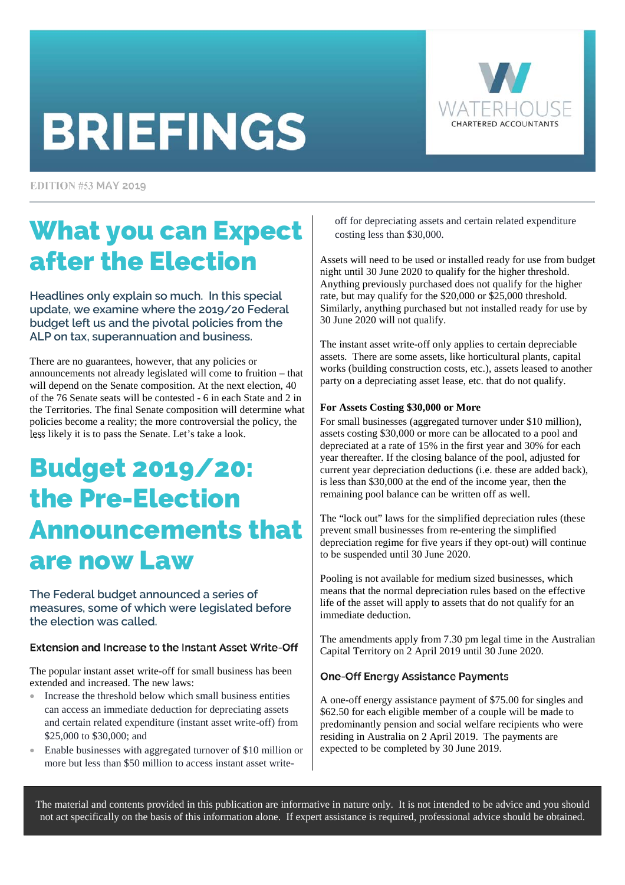# **BRIEFINGS**



EDITION #53 MAY 2019

## What you can Expect after the Election

**Headlines only explain so much. In this special update, we examine where the 2019/20 Federal budget left us and the pivotal policies from the ALP on tax, superannuation and business.** 

There are no guarantees, however, that any policies or announcements not already legislated will come to fruition – that will depend on the Senate composition. At the next election, 40 of the 76 Senate seats will be contested - 6 in each State and 2 in the Territories. The final Senate composition will determine what policies become a reality; the more controversial the policy, the less likely it is to pass the Senate. Let's take a look.

### Budget 2019/20: the Pre-Election Announcements that are now Law

**The Federal budget announced a series of measures, some of which were legislated before the election was called.** 

#### Extension and Increase to the Instant Asset Write-Off

The popular instant asset write-off for small business has been extended and increased. The new laws:

- Increase the threshold below which small business entities can access an immediate deduction for depreciating assets and certain related expenditure (instant asset write-off) from \$25,000 to \$30,000; and
- Enable businesses with aggregated turnover of \$10 million or more but less than \$50 million to access instant asset write-

off for depreciating assets and certain related expenditure costing less than \$30,000.

Assets will need to be used or installed ready for use from budget night until 30 June 2020 to qualify for the higher threshold. Anything previously purchased does not qualify for the higher rate, but may qualify for the \$20,000 or \$25,000 threshold. Similarly, anything purchased but not installed ready for use by 30 June 2020 will not qualify.

The instant asset write-off only applies to certain depreciable assets. There are some assets, like horticultural plants, capital works (building construction costs, etc.), assets leased to another party on a depreciating asset lease, etc. that do not qualify.

#### **For Assets Costing \$30,000 or More**

For small businesses (aggregated turnover under \$10 million), assets costing \$30,000 or more can be allocated to a pool and depreciated at a rate of 15% in the first year and 30% for each year thereafter. If the closing balance of the pool, adjusted for current year depreciation deductions (i.e. these are added back), is less than \$30,000 at the end of the income year, then the remaining pool balance can be written off as well.

The "lock out" laws for the simplified depreciation rules (these prevent small businesses from re-entering the simplified depreciation regime for five years if they opt-out) will continue to be suspended until 30 June 2020.

Pooling is not available for medium sized businesses, which means that the normal depreciation rules based on the effective life of the asset will apply to assets that do not qualify for an immediate deduction.

The amendments apply from 7.30 pm legal time in the Australian Capital Territory on 2 April 2019 until 30 June 2020.

### **One-Off Energy Assistance Payments**

A one-off energy assistance payment of \$75.00 for singles and \$62.50 for each eligible member of a couple will be made to predominantly pension and social welfare recipients who were residing in Australia on 2 April 2019. The payments are expected to be completed by 30 June 2019.

The material and contents provided in this publication are informative in nature only. It is not intended to be advice and you should not act specifically on the basis of this information alone. If expert assistance is required, professional advice should be obtained.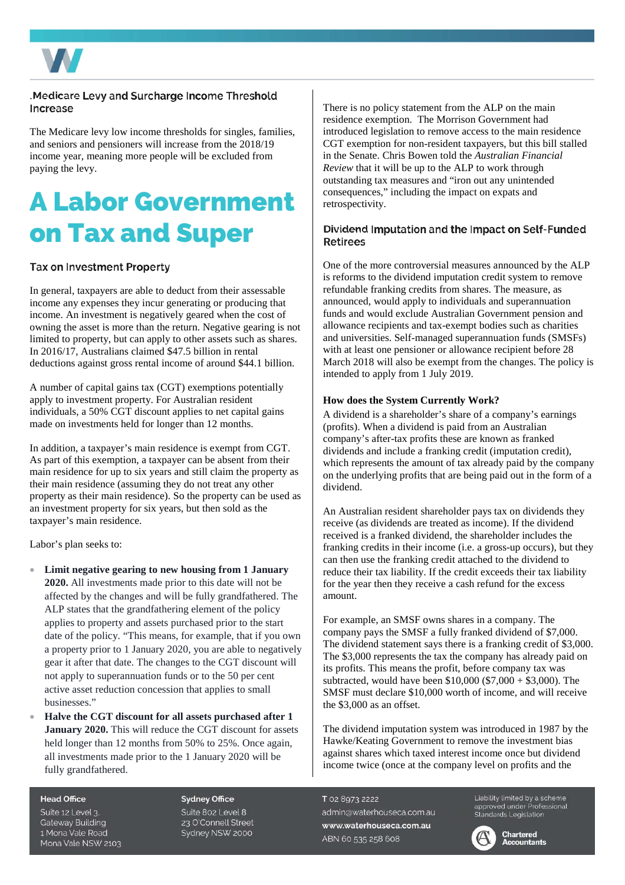

#### Medicare Levy and Surcharge Income Threshold Increase

The Medicare levy low income thresholds for singles, families, and seniors and pensioners will increase from the 2018/19 income year, meaning more people will be excluded from paying the levy.

### A Labor Government on Tax and Super

#### Tax on Investment Property

In general, taxpayers are able to deduct from their assessable income any expenses they incur generating or producing that income. An investment is negatively geared when the cost of owning the asset is more than the return. Negative gearing is not limited to property, but can apply to other assets such as shares. In 2016/17, Australians claimed \$47.5 billion in rental deductions against gross rental income of around \$44.1 billion.

A number of capital gains tax (CGT) exemptions potentially apply to investment property. For Australian resident individuals, a 50% CGT discount applies to net capital gains made on investments held for longer than 12 months.

In addition, a taxpayer's main residence is exempt from CGT. As part of this exemption, a taxpayer can be absent from their main residence for up to six years and still claim the property as their main residence (assuming they do not treat any other property as their main residence). So the property can be used as an investment property for six years, but then sold as the taxpayer's main residence.

Labor's plan seeks to:

- **Limit negative gearing to new housing from 1 January 2020.** All investments made prior to this date will not be affected by the changes and will be fully grandfathered. The ALP states that the grandfathering element of the policy applies to property and assets purchased prior to the start date of the policy. "This means, for example, that if you own a property prior to 1 January 2020, you are able to negatively gear it after that date. The changes to the CGT discount will not apply to superannuation funds or to the 50 per cent active asset reduction concession that applies to small businesses."
- **Halve the CGT discount for all assets purchased after 1 January 2020.** This will reduce the CGT discount for assets held longer than 12 months from 50% to 25%. Once again, all investments made prior to the 1 January 2020 will be fully grandfathered.

There is no policy statement from the ALP on the main residence exemption. The Morrison Government had introduced legislation to remove access to the main residence CGT exemption for non-resident taxpayers, but this bill stalled in the Senate. Chris Bowen told the *Australian Financial Review* that it will be up to the ALP to work through outstanding tax measures and "iron out any unintended consequences," including the impact on expats and retrospectivity.

#### Dividend Imputation and the Impact on Self-Funded **Retirees**

One of the more controversial measures announced by the ALP is reforms to the dividend imputation credit system to remove refundable franking credits from shares. The measure, as announced, would apply to individuals and superannuation funds and would exclude Australian Government pension and allowance recipients and tax-exempt bodies such as charities and universities. Self-managed superannuation funds (SMSFs) with at least one pensioner or allowance recipient before 28 March 2018 will also be exempt from the changes. The policy is intended to apply from 1 July 2019.

#### **How does the System Currently Work?**

A dividend is a shareholder's share of a company's earnings (profits). When a dividend is paid from an Australian company's after-tax profits these are known as franked dividends and include a franking credit (imputation credit), which represents the amount of tax already paid by the company on the underlying profits that are being paid out in the form of a dividend.

An Australian resident shareholder pays tax on dividends they receive (as dividends are treated as income). If the dividend received is a franked dividend, the shareholder includes the franking credits in their income (i.e. a gross-up occurs), but they can then use the franking credit attached to the dividend to reduce their tax liability. If the credit exceeds their tax liability for the year then they receive a cash refund for the excess amount.

For example, an SMSF owns shares in a company. The company pays the SMSF a fully franked dividend of \$7,000. The dividend statement says there is a franking credit of \$3,000. The \$3,000 represents the tax the company has already paid on its profits. This means the profit, before company tax was subtracted, would have been  $$10,000 ($7,000 + $3,000)$ . The SMSF must declare \$10,000 worth of income, and will receive the \$3,000 as an offset.

The dividend imputation system was introduced in 1987 by the Hawke/Keating Government to remove the investment bias against shares which taxed interest income once but dividend income twice (once at the company level on profits and the

#### **Head Office**

Suite 12 Level 3. **Gateway Building** 1 Mona Vale Road Mona Vale NSW 2103

**Sydney Office** Suite 802 Level 8 23 O'Connell Street Sydney NSW 2000

#### T 02 8973 2222 admin@waterhouseca.com.au www.waterhouseca.com.au ABN 60 535 258 608

Liability limited by a scheme approved under Professional<br>Standards Legislation



**Chartered Accountants**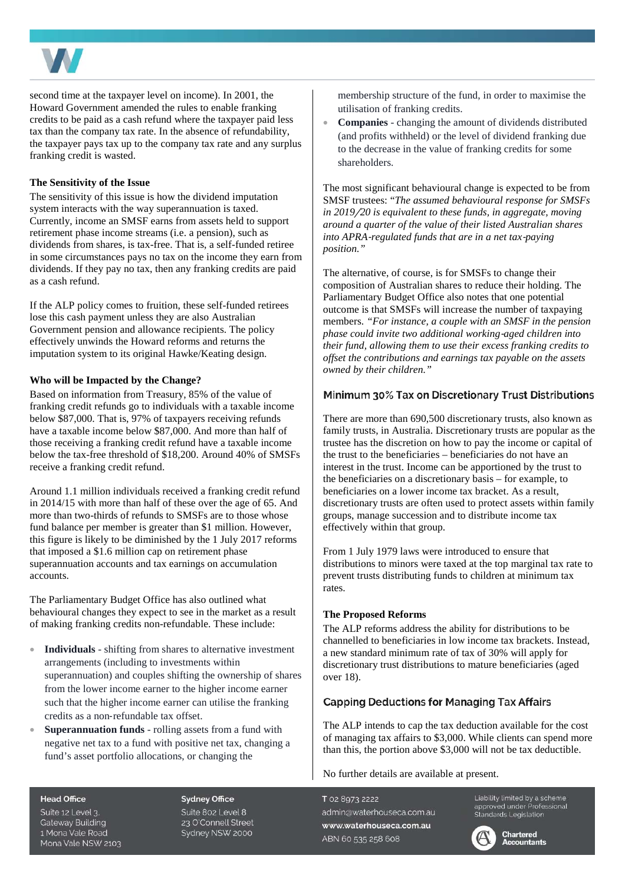

second time at the taxpayer level on income). In 2001, the Howard Government amended the rules to enable franking credits to be paid as a cash refund where the taxpayer paid less tax than the company tax rate. In the absence of refundability, the taxpayer pays tax up to the company tax rate and any surplus franking credit is wasted.

#### **The Sensitivity of the Issue**

The sensitivity of this issue is how the dividend imputation system interacts with the way superannuation is taxed. Currently, income an SMSF earns from assets held to support retirement phase income streams (i.e. a pension), such as dividends from shares, is tax-free. That is, a self-funded retiree in some circumstances pays no tax on the income they earn from dividends. If they pay no tax, then any franking credits are paid as a cash refund.

If the ALP policy comes to fruition, these self-funded retirees lose this cash payment unless they are also Australian Government pension and allowance recipients. The policy effectively unwinds the Howard reforms and returns the imputation system to its original Hawke/Keating design.

#### **Who will be Impacted by the Change?**

Based on information from Treasury, 85% of the value of franking credit refunds go to individuals with a taxable income below \$87,000. That is, 97% of taxpayers receiving refunds have a taxable income below \$87,000. And more than half of those receiving a franking credit refund have a taxable income below the tax-free threshold of \$18,200. Around 40% of SMSFs receive a franking credit refund.

Around 1.1 million individuals received a franking credit refund in 2014/15 with more than half of these over the age of 65. And more than two-thirds of refunds to SMSFs are to those whose fund balance per member is greater than \$1 million. However, this figure is likely to be diminished by the 1 July 2017 reforms that imposed a \$1.6 million cap on retirement phase superannuation accounts and tax earnings on accumulation accounts.

The Parliamentary Budget Office has also outlined what behavioural changes they expect to see in the market as a result of making franking credits non-refundable. These include:

- **Individuals** shifting from shares to alternative investment arrangements (including to investments within superannuation) and couples shifting the ownership of shares from the lower income earner to the higher income earner such that the higher income earner can utilise the franking credits as a non‐refundable tax offset.
- **Superannuation funds** rolling assets from a fund with negative net tax to a fund with positive net tax, changing a fund's asset portfolio allocations, or changing the

membership structure of the fund, in order to maximise the utilisation of franking credits.

• **Companies** - changing the amount of dividends distributed (and profits withheld) or the level of dividend franking due to the decrease in the value of franking credits for some shareholders.

The most significant behavioural change is expected to be from SMSF trustees: "*The assumed behavioural response for SMSFs in 2019*/*20 is equivalent to these funds, in aggregate, moving around a quarter of the value of their listed Australian shares into APRA*‐*regulated funds that are in a net tax*‐*paying position."* 

The alternative, of course, is for SMSFs to change their composition of Australian shares to reduce their holding. The Parliamentary Budget Office also notes that one potential outcome is that SMSFs will increase the number of taxpaying members. *"For instance, a couple with an SMSF in the pension phase could invite two additional working*‐*aged children into their fund, allowing them to use their excess franking credits to offset the contributions and earnings tax payable on the assets owned by their children."*

#### Minimum 30% Tax on Discretionary Trust Distributions

There are more than 690,500 discretionary trusts, also known as family trusts, in Australia. Discretionary trusts are popular as the trustee has the discretion on how to pay the income or capital of the trust to the beneficiaries – beneficiaries do not have an interest in the trust. Income can be apportioned by the trust to the beneficiaries on a discretionary basis – for example, to beneficiaries on a lower income tax bracket. As a result, discretionary trusts are often used to protect assets within family groups, manage succession and to distribute income tax effectively within that group.

From 1 July 1979 laws were introduced to ensure that distributions to minors were taxed at the top marginal tax rate to prevent trusts distributing funds to children at minimum tax rates.

#### **The Proposed Reforms**

The ALP reforms address the ability for distributions to be channelled to beneficiaries in low income tax brackets. Instead, a new standard minimum rate of tax of 30% will apply for discretionary trust distributions to mature beneficiaries (aged over 18).

#### **Capping Deductions for Managing Tax Affairs**

The ALP intends to cap the tax deduction available for the cost of managing tax affairs to \$3,000. While clients can spend more than this, the portion above \$3,000 will not be tax deductible.

#### No further details are available at present.

#### T 02 8973 2222

admin@waterhouseca.com.au www.waterhouseca.com.au ABN 60 535 258 608

Liability limited by a scheme approved under Professional<br>Standards Legislation



#### **Head Office**

Suite 12 Level 3. **Gateway Building** 1 Mona Vale Road Mona Vale NSW 2103

**Sydney Office** Suite 802 Level 8 23 O'Connell Street Sydney NSW 2000